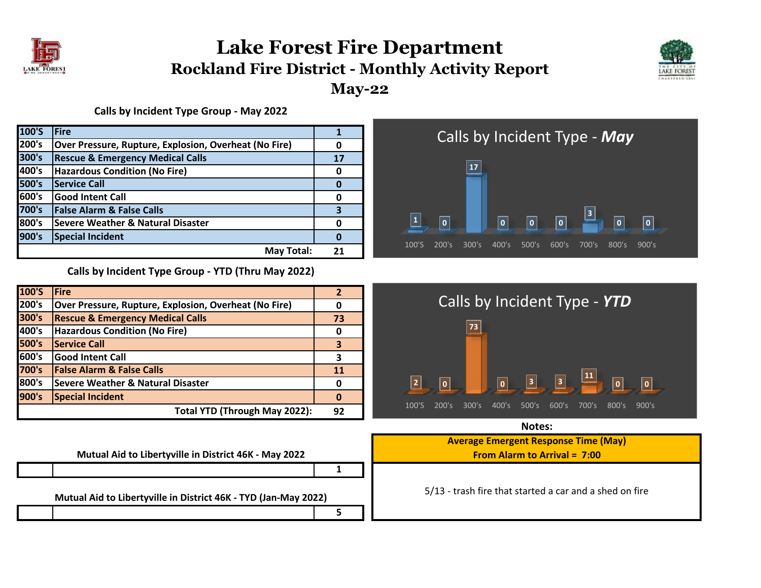

## **Lake Forest Fire Department Rockland Fire District - Monthly Activity Report May-22**



## **Calls by Incident Type Group - May 2022**

| 100'S | Fire                                                  |    |
|-------|-------------------------------------------------------|----|
| 200's | Over Pressure, Rupture, Explosion, Overheat (No Fire) | O  |
| 300's | <b>Rescue &amp; Emergency Medical Calls</b>           | 17 |
| 400's | <b>Hazardous Condition (No Fire)</b>                  | 0  |
| 500's | <b>Service Call</b>                                   |    |
| 600's | <b>Good Intent Call</b>                               | O  |
| 700's | <b>False Alarm &amp; False Calls</b>                  | 3  |
| 800's | <b>Severe Weather &amp; Natural Disaster</b>          | O  |
| 900's | <b>Special Incident</b>                               | 0  |
|       | May Total:                                            | 21 |

**Calls by Incident Type Group - YTD (Thru May 2022)**

| 100'S | Fire                                                  | $\mathbf{2}$ |
|-------|-------------------------------------------------------|--------------|
| 200's | Over Pressure, Rupture, Explosion, Overheat (No Fire) |              |
| 300's | <b>Rescue &amp; Emergency Medical Calls</b>           | 73           |
| 400's | <b>Hazardous Condition (No Fire)</b>                  | 0            |
| 500's | <b>Service Call</b>                                   | з            |
| 600's | <b>Good Intent Call</b>                               | з            |
| 700's | <b>False Alarm &amp; False Calls</b>                  | 11           |
| 800's | <b>Severe Weather &amp; Natural Disaster</b>          | 0            |
| 900's | <b>Special Incident</b>                               | O            |
|       | Total YTD (Through May 2022):                         | 92           |







**Notes:**

**Average Emergent Response Time (May)**